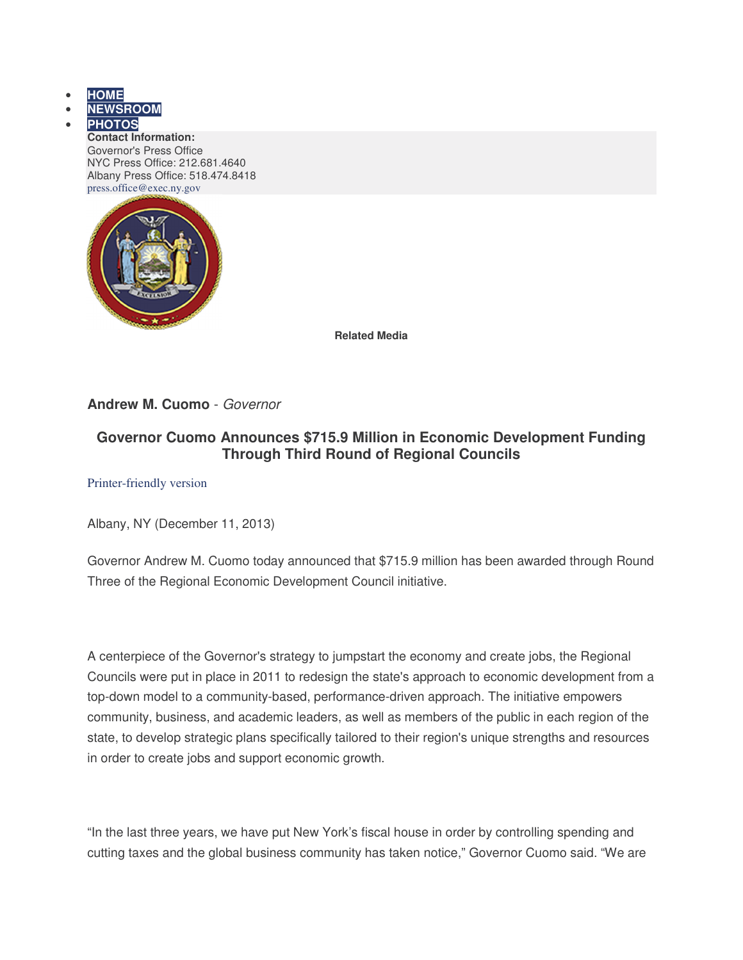- **HOME**
- **NEWSROOM**
	- **PHOTOS Contact Information:** Governor's Press Office NYC Press Office: 212.681.4640 Albany Press Office: 518.474.8418 press.office@exec.ny.gov



**Related Media**

## **Andrew M. Cuomo** - Governor

# **Governor Cuomo Announces \$715.9 Million in Economic Development Funding Through Third Round of Regional Councils**

Printer-friendly version

Albany, NY (December 11, 2013)

Governor Andrew M. Cuomo today announced that \$715.9 million has been awarded through Round Three of the Regional Economic Development Council initiative.

A centerpiece of the Governor's strategy to jumpstart the economy and create jobs, the Regional Councils were put in place in 2011 to redesign the state's approach to economic development from a top-down model to a community-based, performance-driven approach. The initiative empowers community, business, and academic leaders, as well as members of the public in each region of the state, to develop strategic plans specifically tailored to their region's unique strengths and resources in order to create jobs and support economic growth.

"In the last three years, we have put New York's fiscal house in order by controlling spending and cutting taxes and the global business community has taken notice," Governor Cuomo said. "We are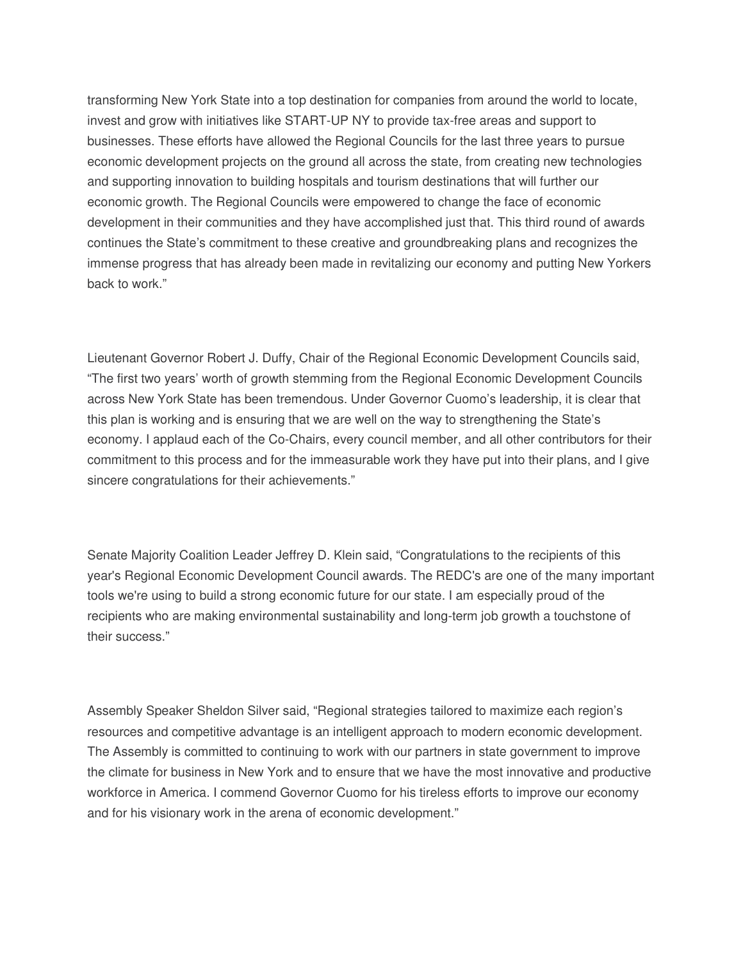transforming New York State into a top destination for companies from around the world to locate, invest and grow with initiatives like START-UP NY to provide tax-free areas and support to businesses. These efforts have allowed the Regional Councils for the last three years to pursue economic development projects on the ground all across the state, from creating new technologies and supporting innovation to building hospitals and tourism destinations that will further our economic growth. The Regional Councils were empowered to change the face of economic development in their communities and they have accomplished just that. This third round of awards continues the State's commitment to these creative and groundbreaking plans and recognizes the immense progress that has already been made in revitalizing our economy and putting New Yorkers back to work."

Lieutenant Governor Robert J. Duffy, Chair of the Regional Economic Development Councils said, "The first two years' worth of growth stemming from the Regional Economic Development Councils across New York State has been tremendous. Under Governor Cuomo's leadership, it is clear that this plan is working and is ensuring that we are well on the way to strengthening the State's economy. I applaud each of the Co-Chairs, every council member, and all other contributors for their commitment to this process and for the immeasurable work they have put into their plans, and I give sincere congratulations for their achievements."

Senate Majority Coalition Leader Jeffrey D. Klein said, "Congratulations to the recipients of this year's Regional Economic Development Council awards. The REDC's are one of the many important tools we're using to build a strong economic future for our state. I am especially proud of the recipients who are making environmental sustainability and long-term job growth a touchstone of their success."

Assembly Speaker Sheldon Silver said, "Regional strategies tailored to maximize each region's resources and competitive advantage is an intelligent approach to modern economic development. The Assembly is committed to continuing to work with our partners in state government to improve the climate for business in New York and to ensure that we have the most innovative and productive workforce in America. I commend Governor Cuomo for his tireless efforts to improve our economy and for his visionary work in the arena of economic development."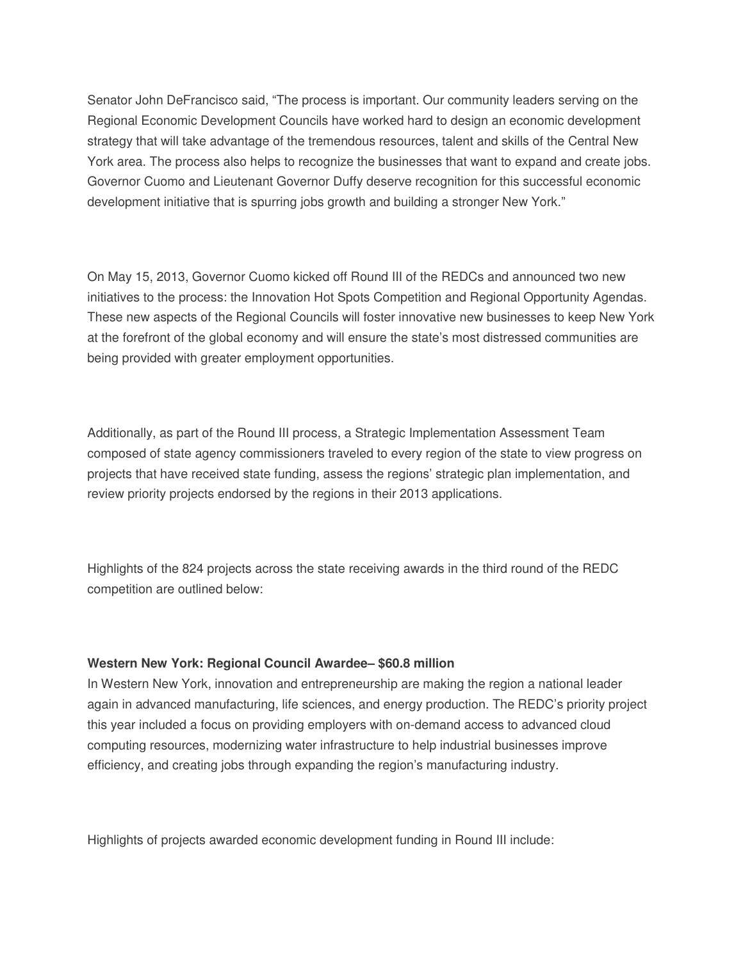Senator John DeFrancisco said, "The process is important. Our community leaders serving on the Regional Economic Development Councils have worked hard to design an economic development strategy that will take advantage of the tremendous resources, talent and skills of the Central New York area. The process also helps to recognize the businesses that want to expand and create jobs. Governor Cuomo and Lieutenant Governor Duffy deserve recognition for this successful economic development initiative that is spurring jobs growth and building a stronger New York."

On May 15, 2013, Governor Cuomo kicked off Round III of the REDCs and announced two new initiatives to the process: the Innovation Hot Spots Competition and Regional Opportunity Agendas. These new aspects of the Regional Councils will foster innovative new businesses to keep New York at the forefront of the global economy and will ensure the state's most distressed communities are being provided with greater employment opportunities.

Additionally, as part of the Round III process, a Strategic Implementation Assessment Team composed of state agency commissioners traveled to every region of the state to view progress on projects that have received state funding, assess the regions' strategic plan implementation, and review priority projects endorsed by the regions in their 2013 applications.

Highlights of the 824 projects across the state receiving awards in the third round of the REDC competition are outlined below:

#### **Western New York: Regional Council Awardee– \$60.8 million**

In Western New York, innovation and entrepreneurship are making the region a national leader again in advanced manufacturing, life sciences, and energy production. The REDC's priority project this year included a focus on providing employers with on-demand access to advanced cloud computing resources, modernizing water infrastructure to help industrial businesses improve efficiency, and creating jobs through expanding the region's manufacturing industry.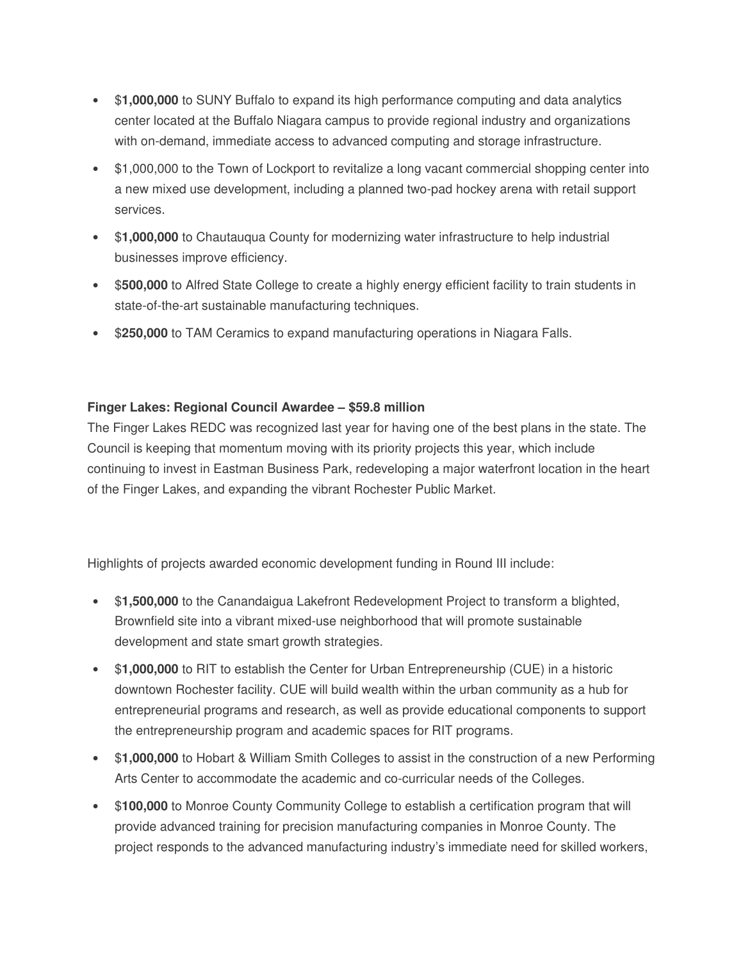- \$**1,000,000** to SUNY Buffalo to expand its high performance computing and data analytics center located at the Buffalo Niagara campus to provide regional industry and organizations with on-demand, immediate access to advanced computing and storage infrastructure.
- \$1,000,000 to the Town of Lockport to revitalize a long vacant commercial shopping center into a new mixed use development, including a planned two-pad hockey arena with retail support services.
- \$**1,000,000** to Chautauqua County for modernizing water infrastructure to help industrial businesses improve efficiency.
- \$**500,000** to Alfred State College to create a highly energy efficient facility to train students in state-of-the-art sustainable manufacturing techniques.
- \$250,000 to TAM Ceramics to expand manufacturing operations in Niagara Falls.

## **Finger Lakes: Regional Council Awardee – \$59.8 million**

The Finger Lakes REDC was recognized last year for having one of the best plans in the state. The Council is keeping that momentum moving with its priority projects this year, which include continuing to invest in Eastman Business Park, redeveloping a major waterfront location in the heart of the Finger Lakes, and expanding the vibrant Rochester Public Market.

- \$**1,500,000** to the Canandaigua Lakefront Redevelopment Project to transform a blighted, Brownfield site into a vibrant mixed-use neighborhood that will promote sustainable development and state smart growth strategies.
- \$**1,000,000** to RIT to establish the Center for Urban Entrepreneurship (CUE) in a historic downtown Rochester facility. CUE will build wealth within the urban community as a hub for entrepreneurial programs and research, as well as provide educational components to support the entrepreneurship program and academic spaces for RIT programs.
- \$**1,000,000** to Hobart & William Smith Colleges to assist in the construction of a new Performing Arts Center to accommodate the academic and co-curricular needs of the Colleges.
- \$**100,000** to Monroe County Community College to establish a certification program that will provide advanced training for precision manufacturing companies in Monroe County. The project responds to the advanced manufacturing industry's immediate need for skilled workers,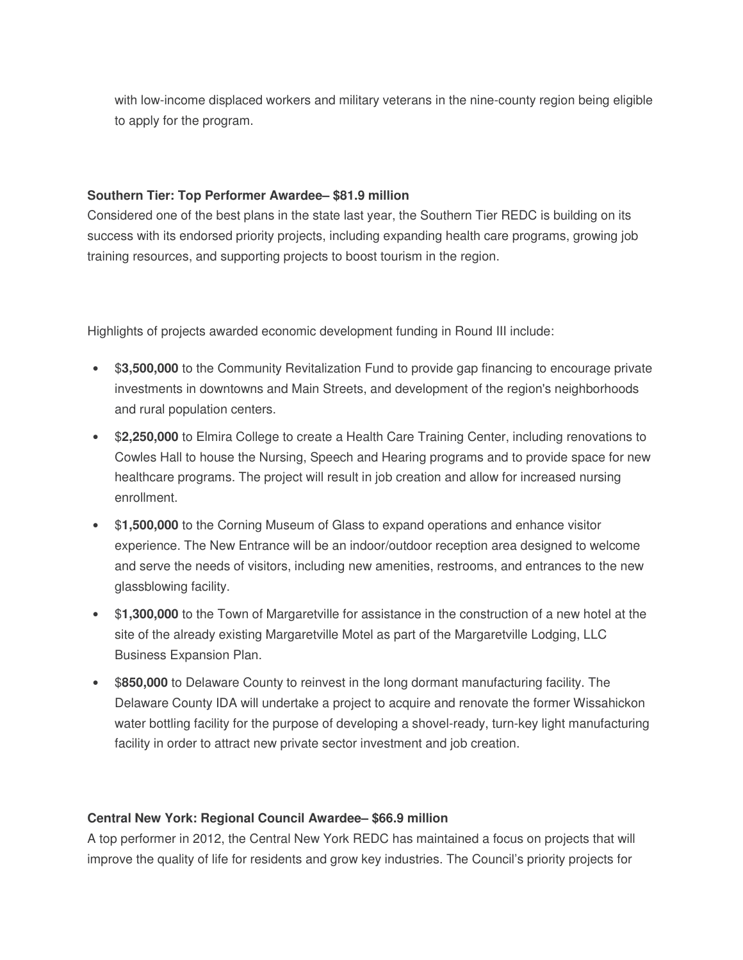with low-income displaced workers and military veterans in the nine-county region being eligible to apply for the program.

### **Southern Tier: Top Performer Awardee– \$81.9 million**

Considered one of the best plans in the state last year, the Southern Tier REDC is building on its success with its endorsed priority projects, including expanding health care programs, growing job training resources, and supporting projects to boost tourism in the region.

Highlights of projects awarded economic development funding in Round III include:

- \$**3,500,000** to the Community Revitalization Fund to provide gap financing to encourage private investments in downtowns and Main Streets, and development of the region's neighborhoods and rural population centers.
- \$**2,250,000** to Elmira College to create a Health Care Training Center, including renovations to Cowles Hall to house the Nursing, Speech and Hearing programs and to provide space for new healthcare programs. The project will result in job creation and allow for increased nursing enrollment.
- \$**1,500,000** to the Corning Museum of Glass to expand operations and enhance visitor experience. The New Entrance will be an indoor/outdoor reception area designed to welcome and serve the needs of visitors, including new amenities, restrooms, and entrances to the new glassblowing facility.
- \$**1,300,000** to the Town of Margaretville for assistance in the construction of a new hotel at the site of the already existing Margaretville Motel as part of the Margaretville Lodging, LLC Business Expansion Plan.
- \$**850,000** to Delaware County to reinvest in the long dormant manufacturing facility. The Delaware County IDA will undertake a project to acquire and renovate the former Wissahickon water bottling facility for the purpose of developing a shovel-ready, turn-key light manufacturing facility in order to attract new private sector investment and job creation.

## **Central New York: Regional Council Awardee– \$66.9 million**

A top performer in 2012, the Central New York REDC has maintained a focus on projects that will improve the quality of life for residents and grow key industries. The Council's priority projects for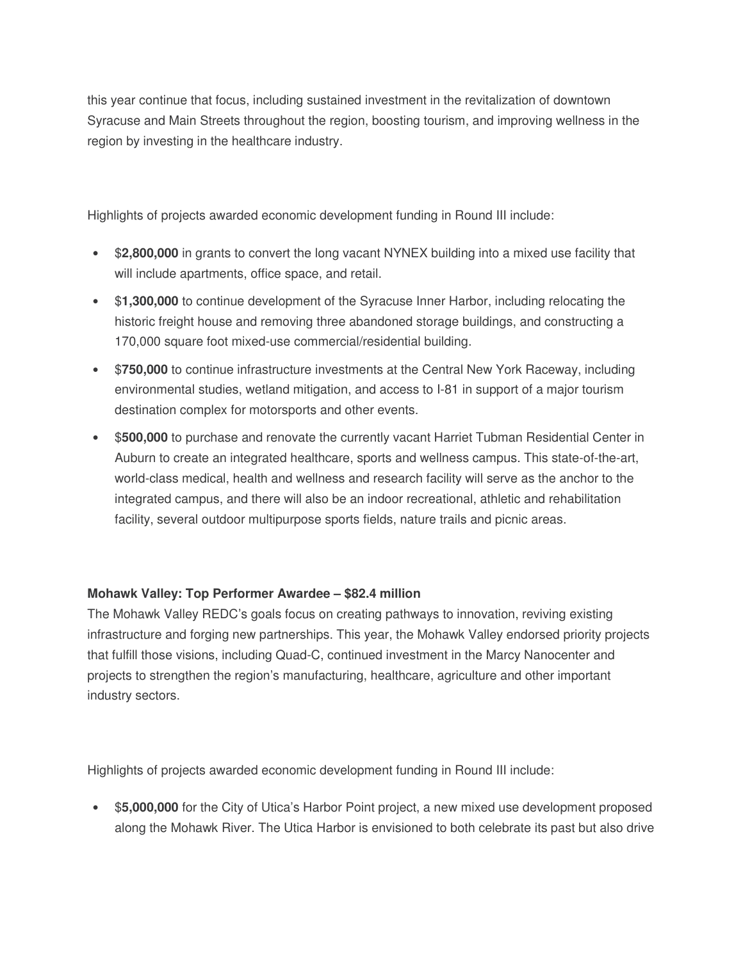this year continue that focus, including sustained investment in the revitalization of downtown Syracuse and Main Streets throughout the region, boosting tourism, and improving wellness in the region by investing in the healthcare industry.

Highlights of projects awarded economic development funding in Round III include:

- \$**2,800,000** in grants to convert the long vacant NYNEX building into a mixed use facility that will include apartments, office space, and retail.
- \$**1,300,000** to continue development of the Syracuse Inner Harbor, including relocating the historic freight house and removing three abandoned storage buildings, and constructing a 170,000 square foot mixed-use commercial/residential building.
- \$**750,000** to continue infrastructure investments at the Central New York Raceway, including environmental studies, wetland mitigation, and access to I-81 in support of a major tourism destination complex for motorsports and other events.
- \$**500,000** to purchase and renovate the currently vacant Harriet Tubman Residential Center in Auburn to create an integrated healthcare, sports and wellness campus. This state-of-the-art, world-class medical, health and wellness and research facility will serve as the anchor to the integrated campus, and there will also be an indoor recreational, athletic and rehabilitation facility, several outdoor multipurpose sports fields, nature trails and picnic areas.

## **Mohawk Valley: Top Performer Awardee – \$82.4 million**

The Mohawk Valley REDC's goals focus on creating pathways to innovation, reviving existing infrastructure and forging new partnerships. This year, the Mohawk Valley endorsed priority projects that fulfill those visions, including Quad-C, continued investment in the Marcy Nanocenter and projects to strengthen the region's manufacturing, healthcare, agriculture and other important industry sectors.

Highlights of projects awarded economic development funding in Round III include:

• \$**5,000,000** for the City of Utica's Harbor Point project, a new mixed use development proposed along the Mohawk River. The Utica Harbor is envisioned to both celebrate its past but also drive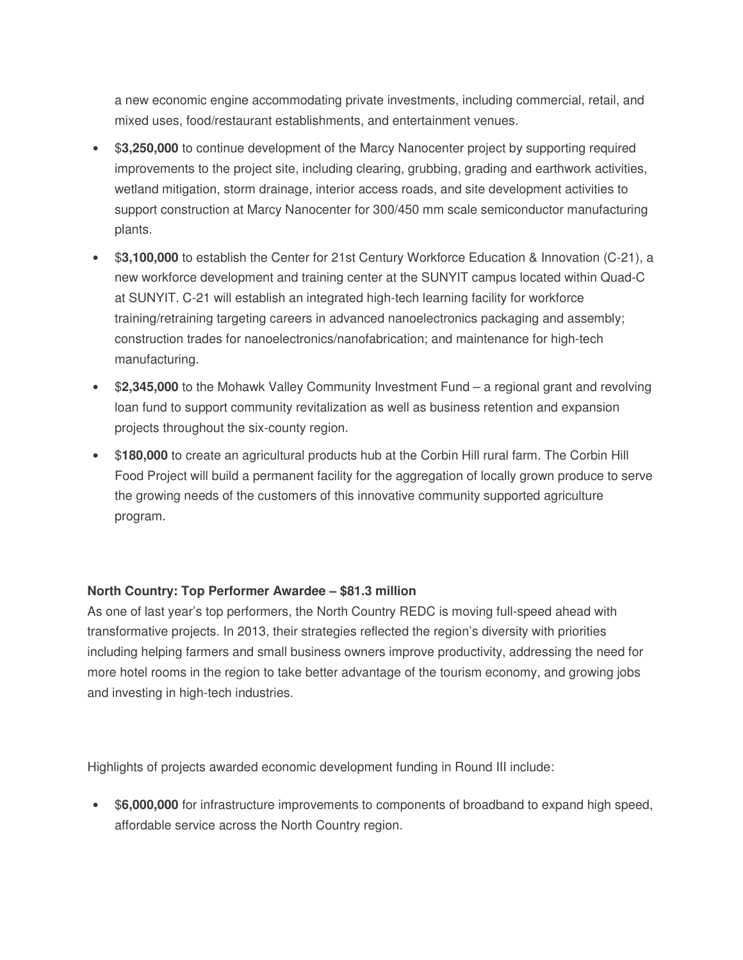a new economic engine accommodating private investments, including commercial, retail, and mixed uses, food/restaurant establishments, and entertainment venues.

- \$**3,250,000** to continue development of the Marcy Nanocenter project by supporting required improvements to the project site, including clearing, grubbing, grading and earthwork activities, wetland mitigation, storm drainage, interior access roads, and site development activities to support construction at Marcy Nanocenter for 300/450 mm scale semiconductor manufacturing plants.
- \$**3,100,000** to establish the Center for 21st Century Workforce Education & Innovation (C-21), a new workforce development and training center at the SUNYIT campus located within Quad-C at SUNYIT. C-21 will establish an integrated high-tech learning facility for workforce training/retraining targeting careers in advanced nanoelectronics packaging and assembly; construction trades for nanoelectronics/nanofabrication; and maintenance for high-tech manufacturing.
- \$**2,345,000** to the Mohawk Valley Community Investment Fund a regional grant and revolving loan fund to support community revitalization as well as business retention and expansion projects throughout the six-county region.
- \$**180,000** to create an agricultural products hub at the Corbin Hill rural farm. The Corbin Hill Food Project will build a permanent facility for the aggregation of locally grown produce to serve the growing needs of the customers of this innovative community supported agriculture program.

## **North Country: Top Performer Awardee – \$81.3 million**

As one of last year's top performers, the North Country REDC is moving full-speed ahead with transformative projects. In 2013, their strategies reflected the region's diversity with priorities including helping farmers and small business owners improve productivity, addressing the need for more hotel rooms in the region to take better advantage of the tourism economy, and growing jobs and investing in high-tech industries.

Highlights of projects awarded economic development funding in Round III include:

• \$**6,000,000** for infrastructure improvements to components of broadband to expand high speed, affordable service across the North Country region.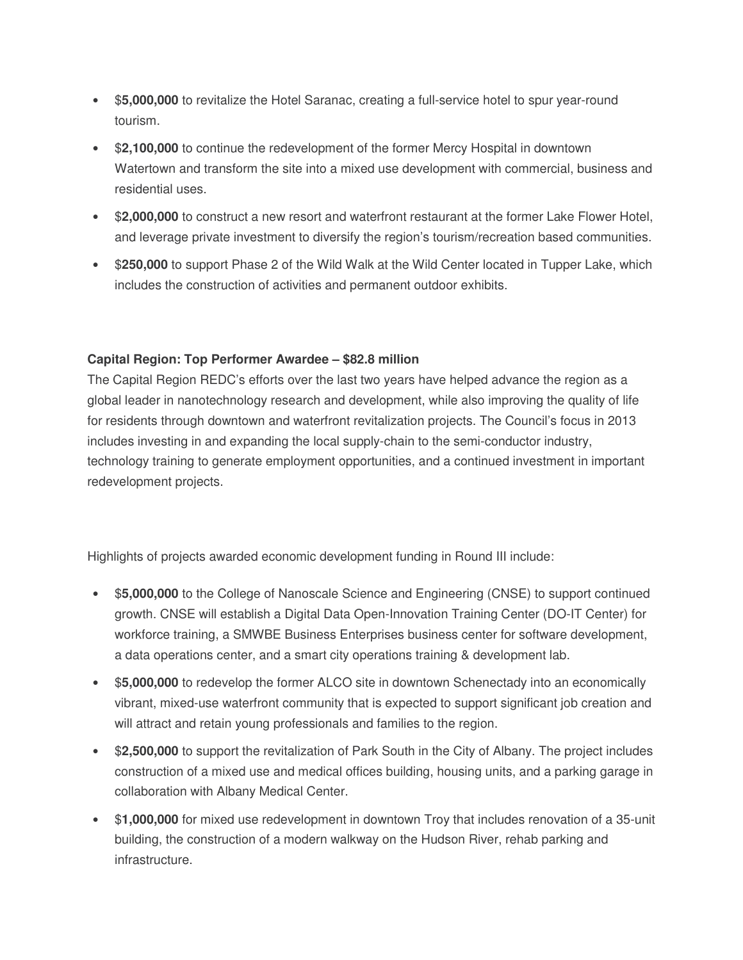- \$**5,000,000** to revitalize the Hotel Saranac, creating a full-service hotel to spur year-round tourism.
- \$**2,100,000** to continue the redevelopment of the former Mercy Hospital in downtown Watertown and transform the site into a mixed use development with commercial, business and residential uses.
- \$**2,000,000** to construct a new resort and waterfront restaurant at the former Lake Flower Hotel, and leverage private investment to diversify the region's tourism/recreation based communities.
- \$**250,000** to support Phase 2 of the Wild Walk at the Wild Center located in Tupper Lake, which includes the construction of activities and permanent outdoor exhibits.

## **Capital Region: Top Performer Awardee – \$82.8 million**

The Capital Region REDC's efforts over the last two years have helped advance the region as a global leader in nanotechnology research and development, while also improving the quality of life for residents through downtown and waterfront revitalization projects. The Council's focus in 2013 includes investing in and expanding the local supply-chain to the semi-conductor industry, technology training to generate employment opportunities, and a continued investment in important redevelopment projects.

- \$**5,000,000** to the College of Nanoscale Science and Engineering (CNSE) to support continued growth. CNSE will establish a Digital Data Open-Innovation Training Center (DO-IT Center) for workforce training, a SMWBE Business Enterprises business center for software development, a data operations center, and a smart city operations training & development lab.
- \$**5,000,000** to redevelop the former ALCO site in downtown Schenectady into an economically vibrant, mixed-use waterfront community that is expected to support significant job creation and will attract and retain young professionals and families to the region.
- \$**2,500,000** to support the revitalization of Park South in the City of Albany. The project includes construction of a mixed use and medical offices building, housing units, and a parking garage in collaboration with Albany Medical Center.
- \$**1,000,000** for mixed use redevelopment in downtown Troy that includes renovation of a 35-unit building, the construction of a modern walkway on the Hudson River, rehab parking and infrastructure.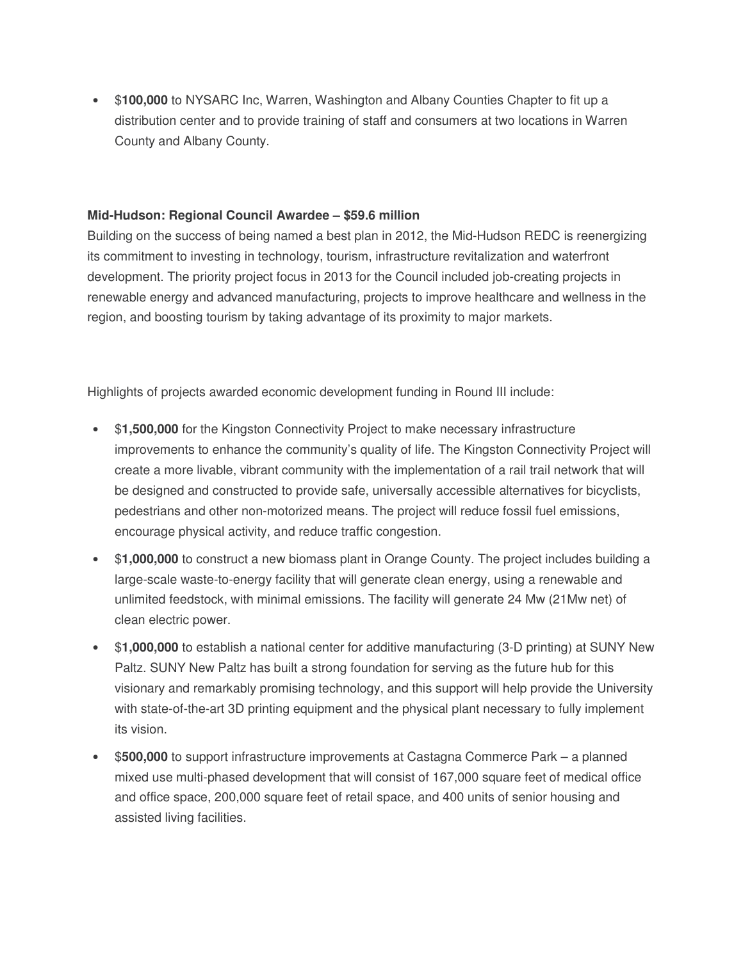• \$**100,000** to NYSARC Inc, Warren, Washington and Albany Counties Chapter to fit up a distribution center and to provide training of staff and consumers at two locations in Warren County and Albany County.

#### **Mid-Hudson: Regional Council Awardee – \$59.6 million**

Building on the success of being named a best plan in 2012, the Mid-Hudson REDC is reenergizing its commitment to investing in technology, tourism, infrastructure revitalization and waterfront development. The priority project focus in 2013 for the Council included job-creating projects in renewable energy and advanced manufacturing, projects to improve healthcare and wellness in the region, and boosting tourism by taking advantage of its proximity to major markets.

- \$**1,500,000** for the Kingston Connectivity Project to make necessary infrastructure improvements to enhance the community's quality of life. The Kingston Connectivity Project will create a more livable, vibrant community with the implementation of a rail trail network that will be designed and constructed to provide safe, universally accessible alternatives for bicyclists, pedestrians and other non-motorized means. The project will reduce fossil fuel emissions, encourage physical activity, and reduce traffic congestion.
- \$**1,000,000** to construct a new biomass plant in Orange County. The project includes building a large-scale waste-to-energy facility that will generate clean energy, using a renewable and unlimited feedstock, with minimal emissions. The facility will generate 24 Mw (21Mw net) of clean electric power.
- \$**1,000,000** to establish a national center for additive manufacturing (3-D printing) at SUNY New Paltz. SUNY New Paltz has built a strong foundation for serving as the future hub for this visionary and remarkably promising technology, and this support will help provide the University with state-of-the-art 3D printing equipment and the physical plant necessary to fully implement its vision.
- \$**500,000** to support infrastructure improvements at Castagna Commerce Park a planned mixed use multi-phased development that will consist of 167,000 square feet of medical office and office space, 200,000 square feet of retail space, and 400 units of senior housing and assisted living facilities.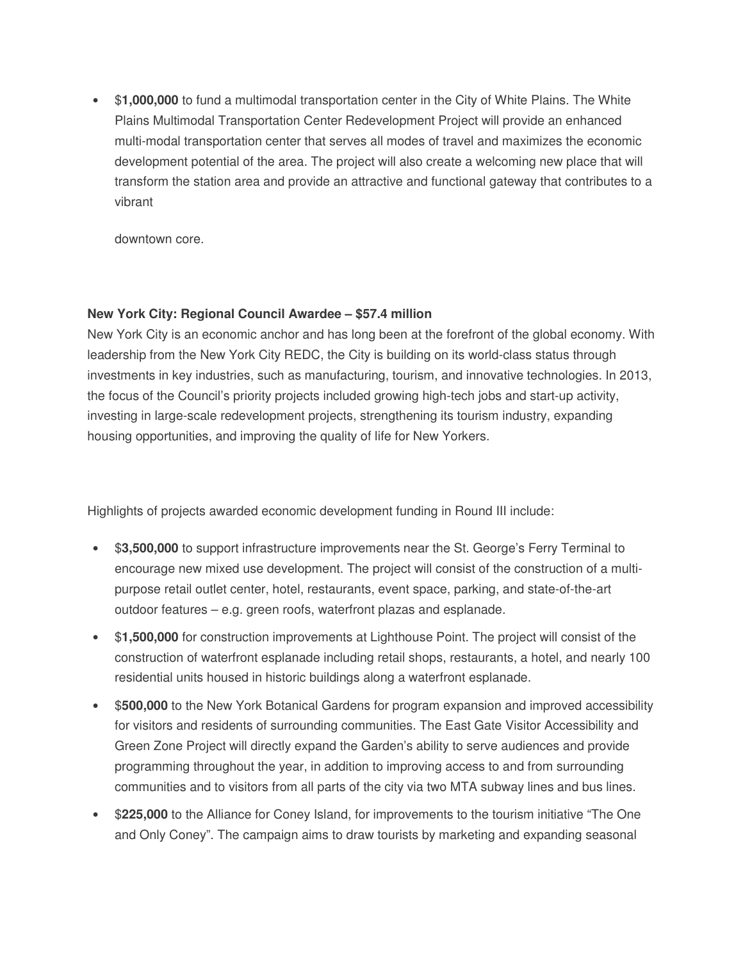• \$**1,000,000** to fund a multimodal transportation center in the City of White Plains. The White Plains Multimodal Transportation Center Redevelopment Project will provide an enhanced multi-modal transportation center that serves all modes of travel and maximizes the economic development potential of the area. The project will also create a welcoming new place that will transform the station area and provide an attractive and functional gateway that contributes to a vibrant

downtown core.

## **New York City: Regional Council Awardee – \$57.4 million**

New York City is an economic anchor and has long been at the forefront of the global economy. With leadership from the New York City REDC, the City is building on its world-class status through investments in key industries, such as manufacturing, tourism, and innovative technologies. In 2013, the focus of the Council's priority projects included growing high-tech jobs and start-up activity, investing in large-scale redevelopment projects, strengthening its tourism industry, expanding housing opportunities, and improving the quality of life for New Yorkers.

- \$**3,500,000** to support infrastructure improvements near the St. George's Ferry Terminal to encourage new mixed use development. The project will consist of the construction of a multipurpose retail outlet center, hotel, restaurants, event space, parking, and state-of-the-art outdoor features – e.g. green roofs, waterfront plazas and esplanade.
- \$**1,500,000** for construction improvements at Lighthouse Point. The project will consist of the construction of waterfront esplanade including retail shops, restaurants, a hotel, and nearly 100 residential units housed in historic buildings along a waterfront esplanade.
- \$**500,000** to the New York Botanical Gardens for program expansion and improved accessibility for visitors and residents of surrounding communities. The East Gate Visitor Accessibility and Green Zone Project will directly expand the Garden's ability to serve audiences and provide programming throughout the year, in addition to improving access to and from surrounding communities and to visitors from all parts of the city via two MTA subway lines and bus lines.
- \$**225,000** to the Alliance for Coney Island, for improvements to the tourism initiative "The One and Only Coney". The campaign aims to draw tourists by marketing and expanding seasonal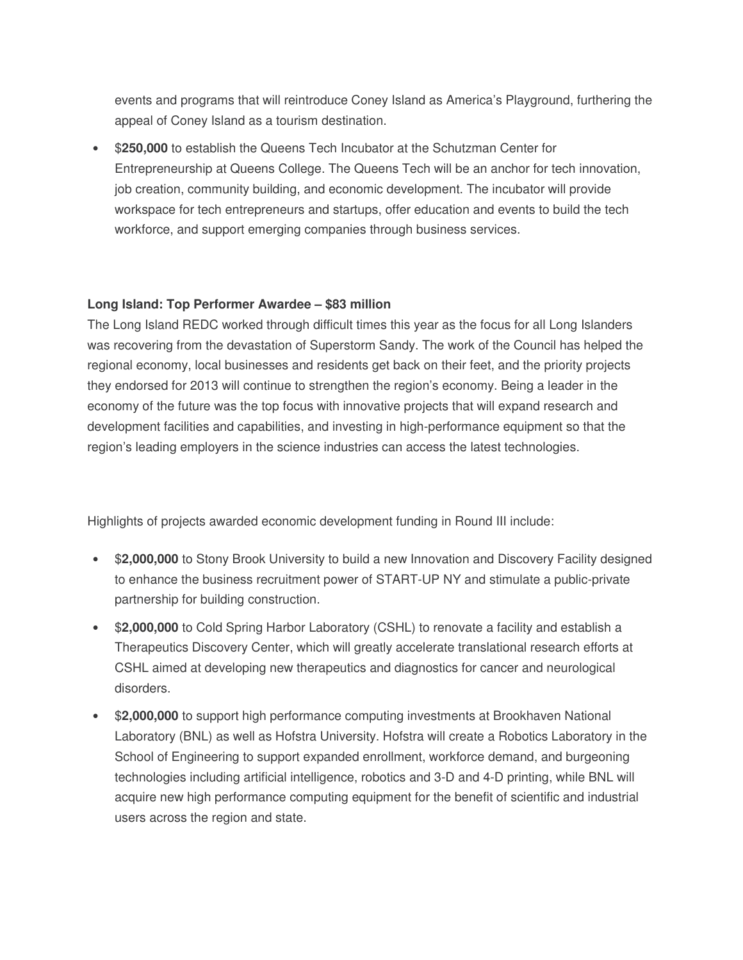events and programs that will reintroduce Coney Island as America's Playground, furthering the appeal of Coney Island as a tourism destination.

• \$**250,000** to establish the Queens Tech Incubator at the Schutzman Center for Entrepreneurship at Queens College. The Queens Tech will be an anchor for tech innovation, job creation, community building, and economic development. The incubator will provide workspace for tech entrepreneurs and startups, offer education and events to build the tech workforce, and support emerging companies through business services.

#### **Long Island: Top Performer Awardee – \$83 million**

The Long Island REDC worked through difficult times this year as the focus for all Long Islanders was recovering from the devastation of Superstorm Sandy. The work of the Council has helped the regional economy, local businesses and residents get back on their feet, and the priority projects they endorsed for 2013 will continue to strengthen the region's economy. Being a leader in the economy of the future was the top focus with innovative projects that will expand research and development facilities and capabilities, and investing in high-performance equipment so that the region's leading employers in the science industries can access the latest technologies.

- \$**2,000,000** to Stony Brook University to build a new Innovation and Discovery Facility designed to enhance the business recruitment power of START-UP NY and stimulate a public-private partnership for building construction.
- \$**2,000,000** to Cold Spring Harbor Laboratory (CSHL) to renovate a facility and establish a Therapeutics Discovery Center, which will greatly accelerate translational research efforts at CSHL aimed at developing new therapeutics and diagnostics for cancer and neurological disorders.
- \$**2,000,000** to support high performance computing investments at Brookhaven National Laboratory (BNL) as well as Hofstra University. Hofstra will create a Robotics Laboratory in the School of Engineering to support expanded enrollment, workforce demand, and burgeoning technologies including artificial intelligence, robotics and 3-D and 4-D printing, while BNL will acquire new high performance computing equipment for the benefit of scientific and industrial users across the region and state.